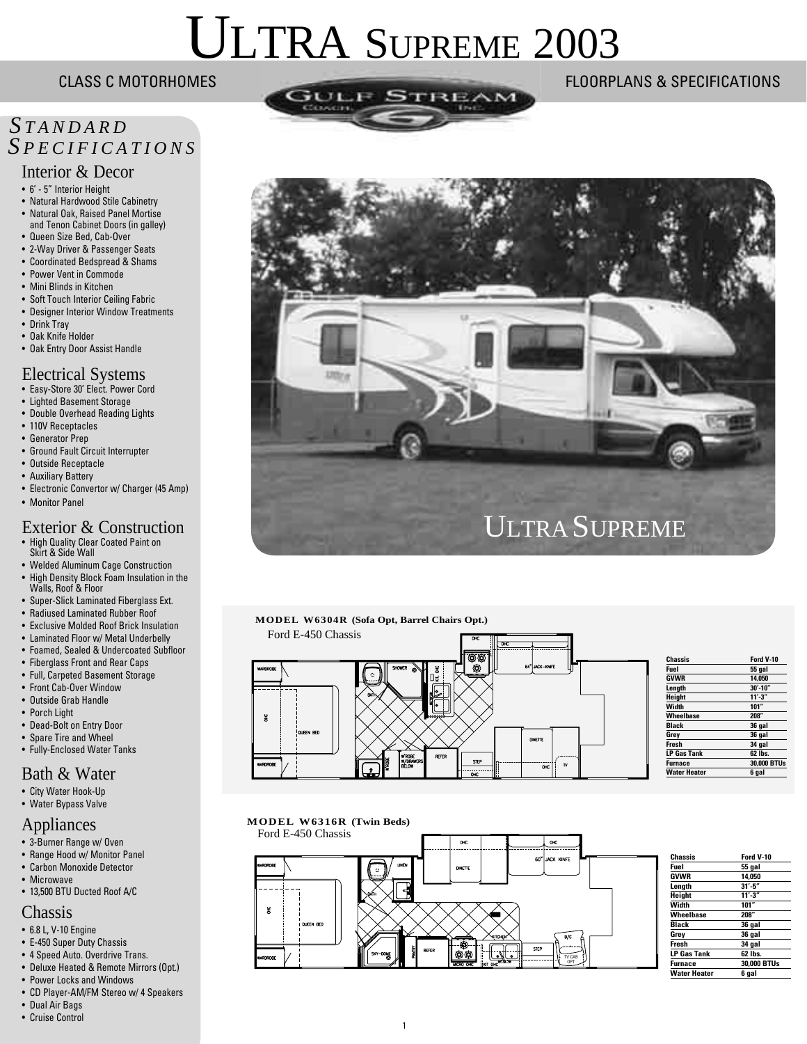# ULTRA SUPREME 2003

# *<sup>S</sup> TANDARD S PECIFICATIONS*

#### Interior & Decor

- 6' 5" Interior Height
- Natural Hardwood Stile Cabinetry
- Natural Oak, Raised Panel Mortise and Tenon Cabinet Doors (in galley)
- Queen Size Bed, Cab-Over • 2-Way Driver & Passenger Seats
- Coordinated Bedspread & Shams
- Power Vent in Commode
- Mini Blinds in Kitchen
- Soft Touch Interior Ceiling Fabric
- Designer Interior Window Treatments
- Drink Tray
- Oak Knife Holder
- Oak Entry Door Assist Handle

#### Electrical Systems

- Easy-Store 30' Elect. Power Cord
- Lighted Basement Storage
- Double Overhead Reading Lights
- 110V Receptacles
- Generator Prep
- Ground Fault Circuit Interrupter
- Outside Receptacle
- Auxiliary Battery
- Electronic Convertor w/ Charger (45 Amp)
- Monitor Panel

#### Exterior & Construction

- High Quality Clear Coated Paint on Skirt & Side Wall
- Welded Aluminum Cage Construction
- High Density Block Foam Insulation in the Walls, Roof & Floor
- Super-Slick Laminated Fiberglass Ext.
- Radiused Laminated Rubber Roof
- Exclusive Molded Roof Brick Insulation
- Laminated Floor w/ Metal Underbelly
- Foamed, Sealed & Undercoated Subfloor
- Fiberglass Front and Rear Caps
- Full, Carpeted Basement Storage
- Front Cab-Over Window
- Outside Grab Handle
- Porch Light
- Dead-Bolt on Entry Door
- Spare Tire and Wheel
- Fully-Enclosed Water Tanks

#### Bath & Water

- City Water Hook-Up
- Water Bypass Valve

#### Appliances

- 3-Burner Range w/ Oven
- Range Hood w/ Monitor Panel
- Carbon Monoxide Detector
- Microwave
- 13,500 BTU Ducted Roof A/C

#### Chassis

- 6.8 L, V-10 Engine
- E-450 Super Duty Chassis
- 4 Speed Auto. Overdrive Trans.
- Deluxe Heated & Remote Mirrors (Opt.)
- Power Locks and Windows
- CD Player-AM/FM Stereo w/ 4 Speakers
- Dual Air Bags
- Cruise Control









| Chassis             | Ford V-10    |
|---------------------|--------------|
| Fuel                | 55 gal       |
| <b>GVWR</b>         | 14.050       |
| Length              | $30' - 10''$ |
| Height              | $11' - 3''$  |
| Width               | 101"         |
| Wheelbase           | 208"         |
| <b>Black</b>        | 36 gal       |
| Grey                | 36 gal       |
| <b>Fresh</b>        | 34 gal       |
| <b>LP Gas Tank</b>  | 62 lbs.      |
| <b>Furnace</b>      | 30.000 BTUs  |
| <b>Water Heater</b> | 6 gal        |





| Chassis             | Ford V-10   |
|---------------------|-------------|
| Fuel                | 55 gal      |
| <b>GVWR</b>         | 14.050      |
| Length              | $31' - 5''$ |
| Height              | $11' - 3''$ |
| Width               | 101"        |
| Wheelbase           | 208"        |
| Black               | 36 gal      |
| Grey                | 36 gal      |
| Fresh               | 34 gal      |
| <b>LP Gas Tank</b>  | 62 lbs.     |
| Furnace             | 30,000 BTUs |
| <b>Water Heater</b> | 6 aal       |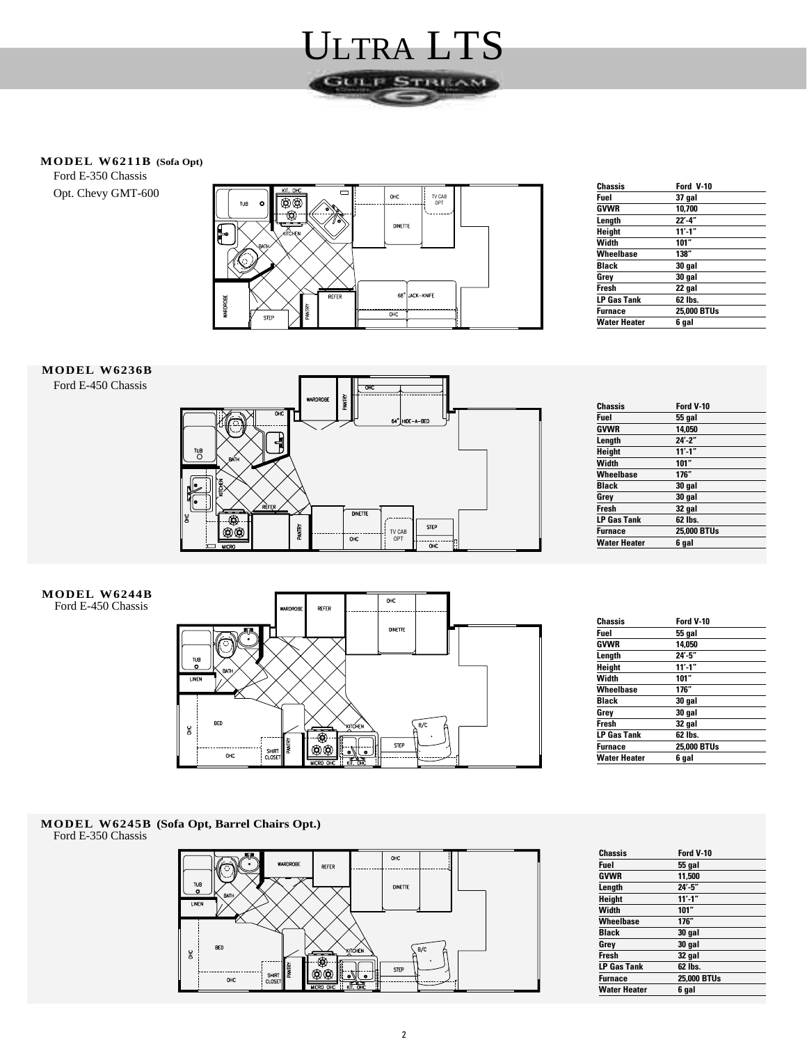

#### **MODEL W6211B (Sofa Opt)**

Ford E-350 Chassis Opt. Chevy GMT-600



| Chassis        | Ford V-10         |  |
|----------------|-------------------|--|
| Fuel           | 37 gal            |  |
| GVWR           | 10,700            |  |
| Length         | $22^{\prime}$ -4" |  |
| Height         | $11' - 1''$       |  |
| Width          | 101"              |  |
| Wheelbase      | 138"              |  |
| Black          | 30 gal            |  |
| Grey           | 30 gal            |  |
| Fresh          | 22 gal            |  |
| LP Gas Tank    | 62 lbs.           |  |
| <b>Furnace</b> | 25,000 BTUs       |  |
| Water Heater   | 6 gal             |  |

#### **MODEL W6236B**

Ford E-450 Chassis



| <b>Chassis</b>      | Ford V-10   |
|---------------------|-------------|
| <b>Fuel</b>         | 55 gal      |
| <b>GVWR</b>         | 14,050      |
| Length              | $24' - 2"$  |
| <b>Height</b>       | $11' - 1''$ |
| Width               | 101"        |
| Wheelbase           | 176"        |
| <b>Black</b>        | 30 gal      |
| Grey                | 30 gal      |
| <b>Fresh</b>        | 32 gal      |
| <b>LP Gas Tank</b>  | 62 lbs.     |
| <b>Furnace</b>      | 25,000 BTUs |
| <b>Water Heater</b> | 6 gal       |

#### **MODEL W6244B** Ford E-450 Chassis



| Chassis             | Ford V-10   |  |
|---------------------|-------------|--|
| Fuel                | 55 gal      |  |
| GVWR                | 14.050      |  |
| Length              | $24' - 5"$  |  |
| Height              | $11' - 1''$ |  |
| Width               | 101"        |  |
| Wheelbase           | 176″        |  |
| <b>Black</b>        | 30 gal      |  |
| Grey                | 30 gal      |  |
| Fresh               | 32 gal      |  |
| <b>LP Gas Tank</b>  | 62 lbs.     |  |
| <b>Furnace</b>      | 25,000 BTUs |  |
| <b>Water Heater</b> | 6 gal       |  |
|                     |             |  |

#### **MODEL W6245B (Sofa Opt, Barrel Chairs Opt.)** Ford E-350 Chassis



| Chassis             | Ford V-10   |
|---------------------|-------------|
| <b>Fuel</b>         | 55 gal      |
| <b>GVWR</b>         | 11.500      |
| Length              | $24' - 5"$  |
| Height              | $11' - 1''$ |
| Width               | 101"        |
| <b>Wheelbase</b>    | 176"        |
| Black               | 30 gal      |
| Grey                | 30 gal      |
| Fresh               | 32 gal      |
| <b>LP Gas Tank</b>  | 62 lbs.     |
| <b>Furnace</b>      | 25,000 BTUs |
| <b>Water Heater</b> | 6 gal       |
|                     |             |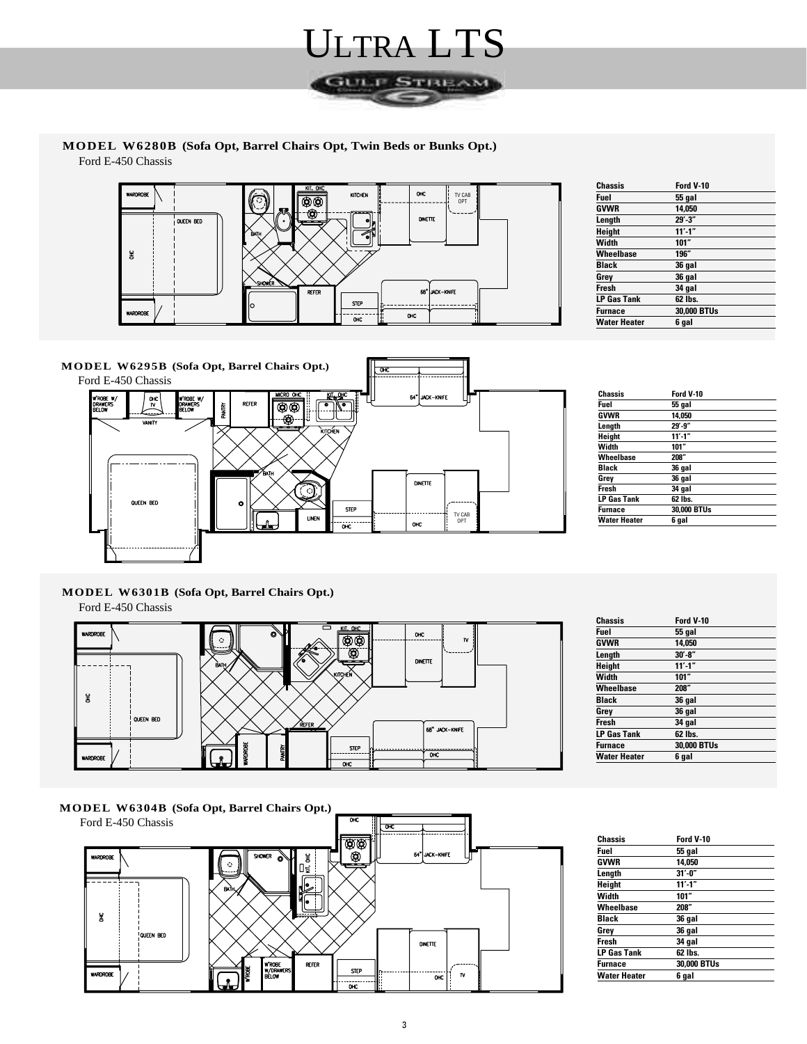

**MODEL W6280B (Sofa Opt, Barrel Chairs Opt, Twin Beds or Bunks Opt.)** Ford E-450 Chassis



| Chassis             | Ford V-10   |
|---------------------|-------------|
| Fuel                | 55 gal      |
| <b>GVWR</b>         | 14,050      |
| Length              | $29' - 3"$  |
| <b>Height</b>       | $11' - 1''$ |
| Width               | 101"        |
| <b>Wheelbase</b>    | 196″        |
| <b>Black</b>        | 36 gal      |
| Grey                | 36 gal      |
| <b>Fresh</b>        | 34 gal      |
| LP Gas Tank         | 62 lbs.     |
| <b>Furnace</b>      | 30,000 BTUs |
| <b>Water Heater</b> | 6 gal       |



| <b>Chassis</b>      | Ford V-10   |
|---------------------|-------------|
| Fuel                | 55 gal      |
| <b>GVWR</b>         | 14.050      |
| Length              | $29' - 9''$ |
| Height              | $11' - 1''$ |
| Width               | 101"        |
| Wheelbase           | 208"        |
| <b>Black</b>        | 36 gal      |
| Grey                | 36 gal      |
| Fresh               | 34 gal      |
| <b>LP Gas Tank</b>  | 62 lbs.     |
| <b>Furnace</b>      | 30,000 BTUs |
| <b>Water Heater</b> | 6 gal       |

**MODEL W6301B (Sofa Opt, Barrel Chairs Opt.)** Ford E-450 Chassis



| Chassis             | Ford V-10   |
|---------------------|-------------|
| Fuel                | 55 gal      |
| <b>GVWR</b>         | 14.050      |
| Length              | $30' - 8"$  |
| <b>Height</b>       | $11' - 1''$ |
| Width               | 101"        |
| <b>Wheelbase</b>    | 208"        |
| <b>Black</b>        | 36 gal      |
| Grey                | 36 gal      |
| Fresh               | 34 gal      |
| <b>LP Gas Tank</b>  | 62 lbs.     |
| <b>Furnace</b>      | 30,000 BTUs |
| <b>Water Heater</b> | 6 gal       |
|                     |             |

**MODEL W6304B (Sofa Opt, Barrel Chairs Opt.)** Ford E-450 Chassis



| Chassis            | Ford V-10   |  |
|--------------------|-------------|--|
| Fuel               | 55 gal      |  |
| <b>GVWR</b>        | 14.050      |  |
| Length             | $31' - 0''$ |  |
| Height             | $11' - 1''$ |  |
| Width              | 101"        |  |
| Wheelbase          | 208"        |  |
| Black              | 36 gal      |  |
| Grey               | 36 gal      |  |
| Fresh              | 34 gal      |  |
| <b>LP Gas Tank</b> | 62 lbs.     |  |
| Furnace            | 30,000 BTUs |  |
| Water Heater       | 6 gal       |  |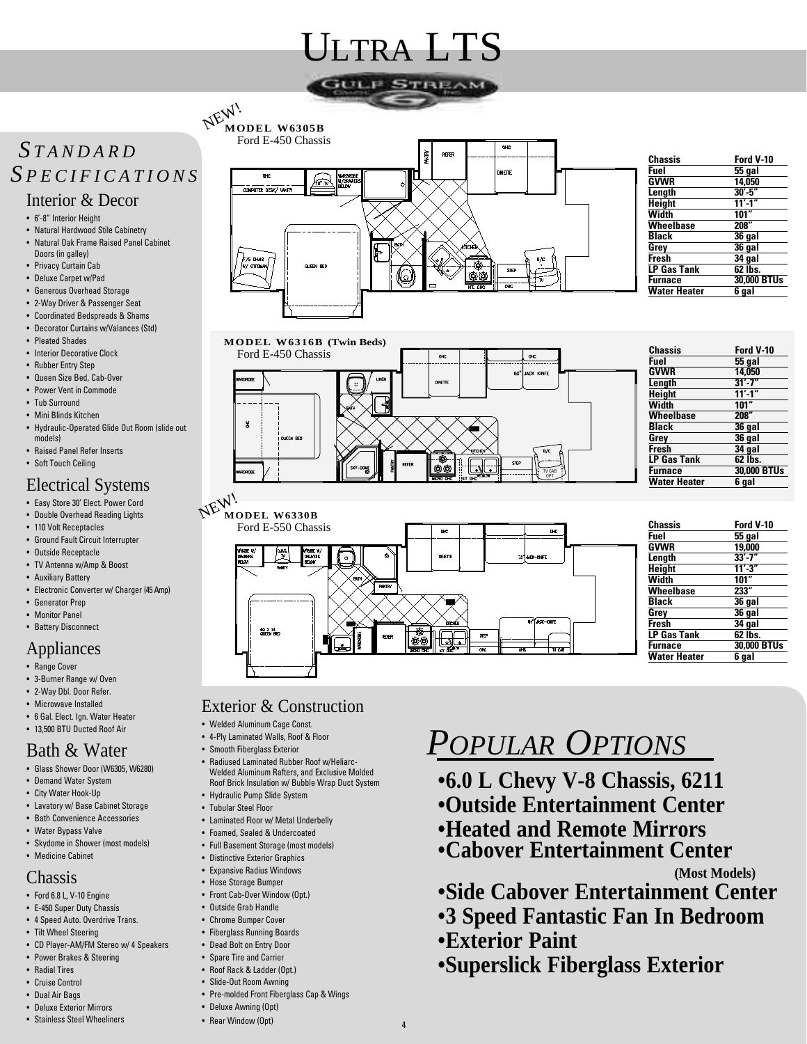# ULTRA LTS



### *S TANDARD S PECIFICATIONS*

#### Interior & Decor

- 6'-8" Interior Height
- Natural Hardwood Stile Cabinetry • Natural Oak Frame Raised Panel Cabinet Doors (in galley)
- Privacy Curtain Cab
- Deluxe Carpet w/Pad
- Generous Overhead Storage
- 2-Way Driver & Passenger Seat
- Coordinated Bedspreads & Shams
- Decorator Curtains w/Valances (Std)
- Pleated Shades
- Interior Decorative Clock
- Rubber Entry Step
- Queen Size Bed, Cab-Over
- Power Vent in Commode
- Tub Surround
- Mini Blinds Kitchen
- Hydraulic-Operated Glide Out Room (slide out models)
- Raised Panel Refer Inserts
- Soft Touch Ceiling

### Electrical Systems

- Easy Store 30' Elect. Power Cord
- Double Overhead Reading Lights
- 110 Volt Receptacles
- Ground Fault Circuit Interrupter
- Outside Receptacle
- TV Antenna w/Amp & Boost
- Auxiliary Battery
- Electronic Converter w/ Charger (45 Amp)
- Generator Prep
- Monitor Panel

#### • Battery Disconnect

- Appliances
- Range Cover
- 3-Burner Range w/ Oven
- 2-Way Dbl. Door Refer.
- Microwave Installed
- 6 Gal. Elect. Ign. Water Heater • 13,500 BTU Ducted Roof Air

### Bath & Water

- Glass Shower Door (W6305, W6280)
- Demand Water System
- City Water Hook-Up
- Lavatory w/ Base Cabinet Storage
- Bath Convenience Accessories
- Water Bypass Valve
- Skydome in Shower (most models)
- Medicine Cabinet

#### Chassis

- Ford 6.8 L, V-10 Engine
- E-450 Super Duty Chassis
- 4 Speed Auto. Overdrive Trans.
- Tilt Wheel Steering
- CD Player-AM/FM Stereo w/ 4 Speakers
- Power Brakes & Steering
- Radial Tires
- Cruise Control
- Dual Air Bags • Deluxe Exterior Mirrors
- Stainless Steel Wheeliners



| Ford V-10   |
|-------------|
| 55 qal      |
| 14.050      |
| $30' - 5"$  |
| $11' - 1''$ |
| 101"        |
| 208"        |
| 36 gal      |
| 36 gal      |
| 34 gal      |
| 62 lbs.     |
| 30,000 BTUs |
| 6 qal       |
|             |



**LP Gas Tank 62 lbs. Furnace 30,000 BTUs Water Heater 6 gal**

#### Exterior & Construction

60 X 74<br>QUEEN BED

**MODEL W6305B** 

NEW!

- Welded Aluminum Cage Const.
- 4-Ply Laminated Walls, Roof & Floor
- Smooth Fiberglass Exterior
- Radiused Laminated Rubber Roof w/Heliarc-Welded Aluminum Rafters, and Exclusive Molded Roof Brick Insulation w/ Bubble Wrap Duct System
- Hydraulic Pump Slide System
- Tubular Steel Floor
- Laminated Floor w/ Metal Underbelly
- Foamed, Sealed & Undercoated
- Full Basement Storage (most models)
- Distinctive Exterior Graphics
- Expansive Radius Windows
- Hose Storage Bumper • Front Cab-Over Window (Opt.)
- Outside Grab Handle
- Chrome Bumper Cover
- Fiberglass Running Boards
- Dead Bolt on Entry Door
- Spare Tire and Carrier
- Roof Rack & Ladder (Opt.)
- Slide-Out Room Awning
- Pre-molded Front Fiberglass Cap & Wings
- Deluxe Awning (Opt)
- Rear Window (Opt)

# *POPULAR OPTIONS*

- **6.0 L Chevy V-8 Chassis, 6211**
- **•Outside Entertainment Center**
- **Heated and Remote Mirrors**
- **Cabover Entertainment Center (Most Models)**
	-
- **Side Cabover Entertainment Center**
- **3 Speed Fantastic Fan In Bedroom**
- **Exterior Paint**
- **•Superslick Fiberglass Exterior**

4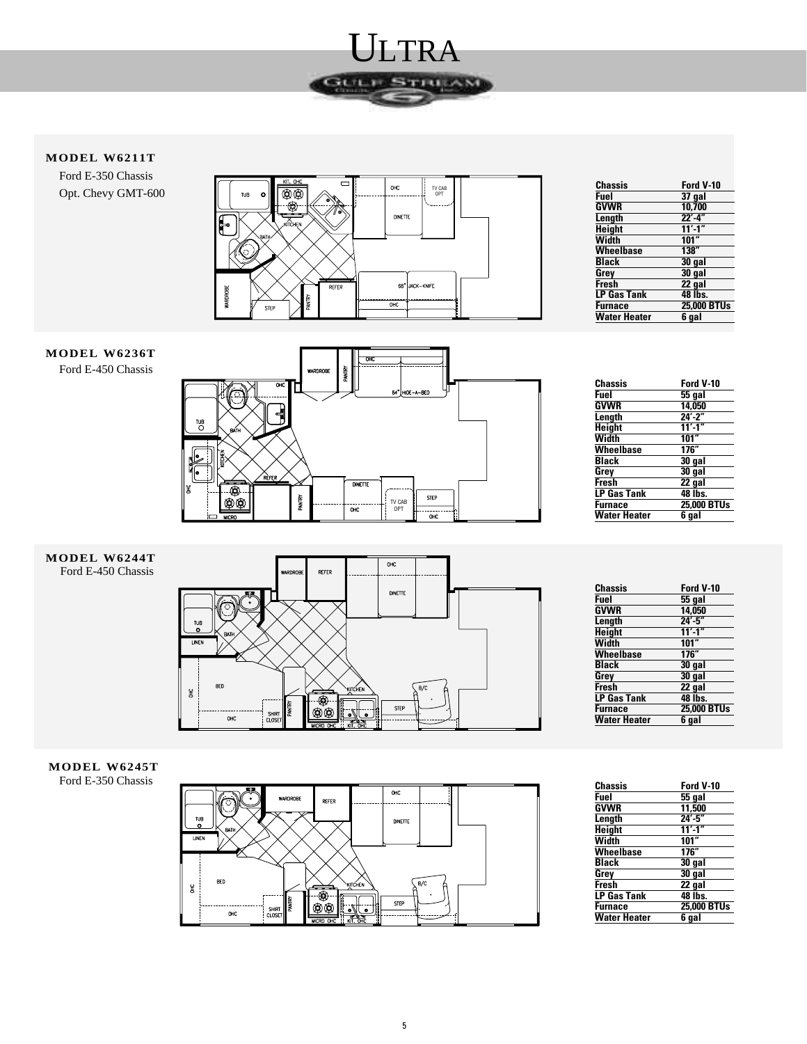

#### **MODEL W6211T**

Ford E-350 Chassis Opt. Chevy GMT-600



| Chassis             | Ford V-10   |
|---------------------|-------------|
| Fuel                | $37$ gal    |
| <b>GVWR</b>         | 10,700      |
| Length              | $22' - 4"$  |
| <b>Height</b>       | $11' - 1''$ |
| Width               | 101''       |
| Wheelbase           | 138''       |
| <b>Black</b>        | $30$ gal    |
| Grey                | $30$ gal    |
| Fresh               | 22 gal      |
| <b>LP Gas Tank</b>  | 48 lbs.     |
| <b>Furnace</b>      | 25,000 BTUs |
| <b>Water Heater</b> | 6 gal       |

#### **MODEL W6236T** Ford E-450 Chassis



| Chassis            | Ford V-10   |
|--------------------|-------------|
| Fuel               | 55 gal      |
| GVWR               | 14.050      |
| Length             | $24' - 2"$  |
| Height             | $11' - 1''$ |
| Width              | 101"        |
| Wheelbase          | 176"        |
| <b>Black</b>       | 30 gal      |
| Grey               | 30 gal      |
| Fresh              | 22 gal      |
| <b>LP Gas Tank</b> | 48 lbs.     |
| <b>Furnace</b>     | 25,000 BTUs |
| Water Heater       | 6 qal       |

#### **MODEL W6244T** Ford E-450 Chassis



| Chassis             | Ford V-10     |
|---------------------|---------------|
| Fuel                | <b>55 gal</b> |
| <b>GVWR</b>         | 14.050        |
| Length              | $24' - 5"$    |
| <b>Height</b>       | $11' - 1''$   |
| Width               | 101"          |
| <b>Wheelbase</b>    | 176"          |
| Black               | 30 gal        |
| Grey                | 30 gal        |
| <b>Fresh</b>        | $22$ gal      |
| <b>LP Gas Tank</b>  | 48 lbs.       |
| <b>Furnace</b>      | 25,000 BTUs   |
| <b>Water Heater</b> | 6 aal         |

#### **MODEL W6245T** Ford E-350 Chassis



| Chassis             | Ford V-10   |
|---------------------|-------------|
| Fuel                | 55 gal      |
| GVWR                | 11.500      |
| Length              | $24' - 5"$  |
| <b>Height</b>       | $11' - 1''$ |
| Width               | 101"        |
| Wheelbase           | 176"        |
| Black               | 30 gal      |
| Grev                | 30 gal      |
| Fresh               | 22 gal      |
| <b>LP Gas Tank</b>  | 48 lbs.     |
| Furnace             | 25,000 BTUs |
| <b>Water Heater</b> | 6 qal       |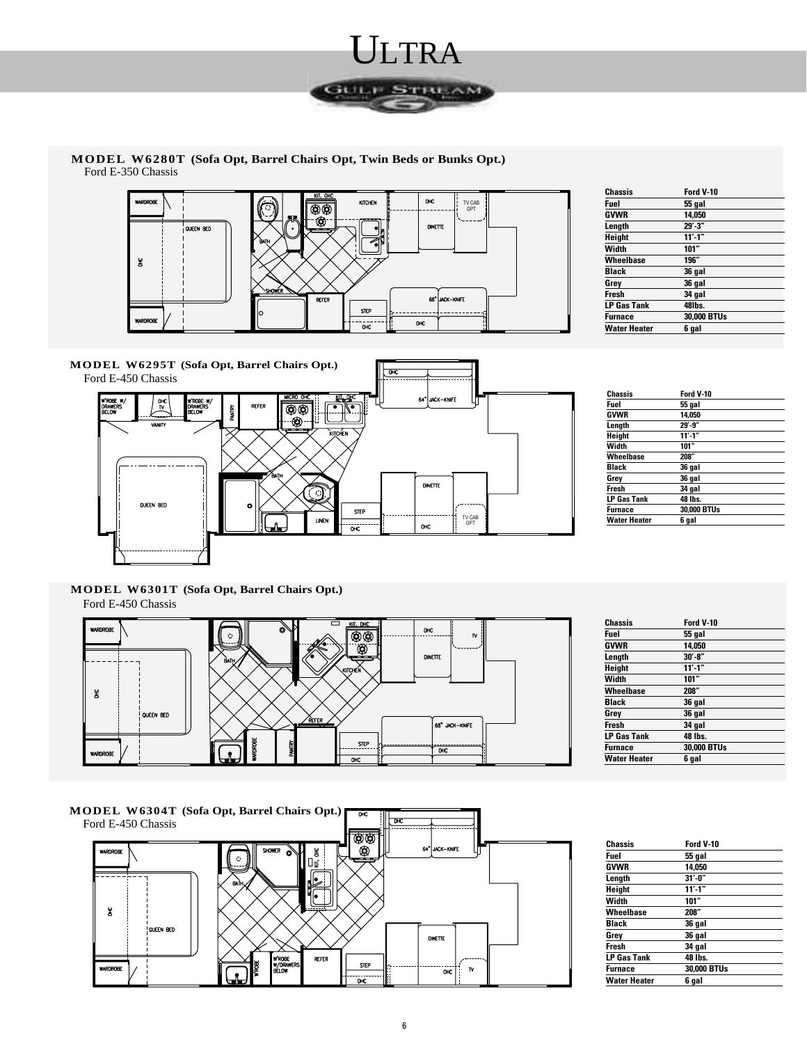

**MODEL W6280T (Sofa Opt, Barrel Chairs Opt, Twin Beds or Bunks Opt.)** Ford E-350 Chassis



| Chassis             | Ford V-10     |
|---------------------|---------------|
| Fuel                | <b>55 gal</b> |
| <b>GVWR</b>         | 14.050        |
| Length              | $29' - 3''$   |
| Height              | $11' - 1''$   |
| Width               | 101"          |
| Wheelbase           | 196"          |
| <b>Black</b>        | 36 gal        |
| Grey                | 36 gal        |
| Fresh               | 34 gal        |
| <b>LP Gas Tank</b>  | 48lbs.        |
| <b>Furnace</b>      | 30,000 BTUs   |
| <b>Water Heater</b> | 6 gal         |



| <b>Chassis</b>      | Ford V-10   |
|---------------------|-------------|
| Fuel                | 55 gal      |
| <b>GVWR</b>         | 14.050      |
| Length              | $29' - 9''$ |
| Height              | $11' - 1''$ |
| Width               | 101"        |
| Wheelbase           | 208"        |
| Black               | 36 gal      |
| Grey                | 36 gal      |
| Fresh               | 34 gal      |
| <b>LP Gas Tank</b>  | 48 lbs.     |
| <b>Furnace</b>      | 30,000 BTUs |
| <b>Water Heater</b> | 6 gal       |

**MODEL W6301T (Sofa Opt, Barrel Chairs Opt.)** Ford E-450 Chassis





| <b>Chassis</b>      | Ford V-10   |
|---------------------|-------------|
| Fuel                | 55 gal      |
| <b>GVWR</b>         | 14,050      |
| Length              | $31' - 0''$ |
| Height              | $11' - 1''$ |
| Width               | 101"        |
| Wheelbase           | 208"        |
| Black               | 36 gal      |
| Grev                | 36 gal      |
| Fresh               | 34 gal      |
| <b>LP Gas Tank</b>  | 48 lbs.     |
| Furnace             | 30,000 BTUs |
| <b>Water Heater</b> | 6 gal       |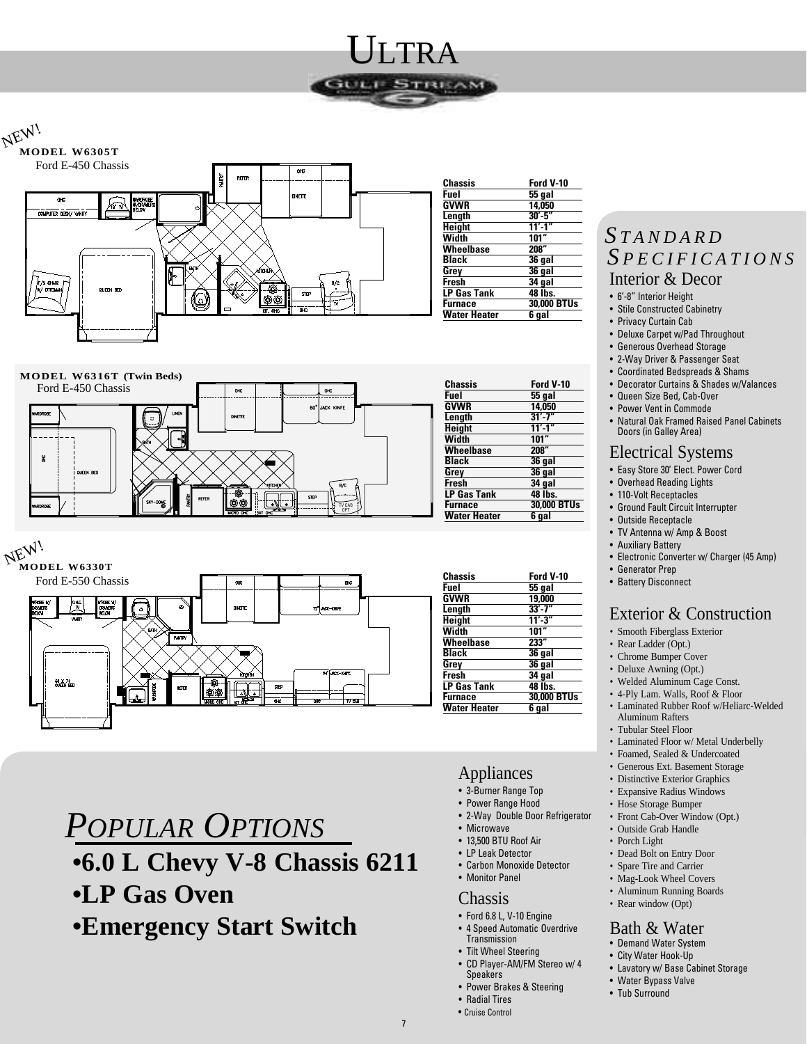

# NEW!







# *POPULAR OPTIONS*

## **•6.0 L Chevy V-8 Chassis 6211**

- **•LP Gas Oven**
- **•Emergency Start Switch**

| Chassis             | Ford V-10          |
|---------------------|--------------------|
| Fuel                | 55 gal             |
| GVWR                | 14.050             |
| Length              | $30' - 5"$         |
| <b>Height</b>       | $11' - 1''$        |
| Width               | 101"               |
| <b>Wheelbase</b>    | 208"               |
| Black               | 36 qal             |
| Grey                | $36$ gal           |
| <b>Fresh</b>        | 34 gal             |
| <b>LP Gas Tank</b>  | 48 lbs.            |
| <b>Furnace</b>      | <b>30,000 BTUs</b> |
| <b>Water Heater</b> | 6 qal              |

| Chassis            | Ford V-10   |
|--------------------|-------------|
| Fuel               | $55$ gal    |
| GVWR               | 14.050      |
| Length             | $31' - 7''$ |
| Height             | $11' - 1''$ |
| Width              | 101"        |
| Wheelbase          | 208"        |
| Black              | $36$ gal    |
| Grey               | 36 gal      |
| Fresh              | 34 gal      |
| <b>LP Gas Tank</b> | 48 lbs.     |
| Furnace            | 30,000 BTUs |
| Water Heater       | 6 qal       |
|                    |             |

| Chassis<br><sup>:</sup> uel | Ford V-10     |
|-----------------------------|---------------|
|                             | <b>55 gal</b> |
| <b>SVWR</b>                 | 19,000        |
| .ength                      | $33' - 7''$   |
| leight                      | $11' - 3''$   |
| Nidth                       | 101           |
| <b>Nheelbase</b>            | 233"          |
| <b>Black</b>                | 36 gal        |
| irey                        | 36 gal        |
| <b>Tesh</b>                 | $34$ gal      |
| P Gas Tank                  | 48 lbs.       |
| <sup>:</sup> urnace         | 30,000 BTUs   |
| Nater Heater                | 6 qal         |
|                             |               |

#### Appliances

- 3-Burner Range Top
- Power Range Hood
- 2-Way Double Door Refrigerator
- Microwave
- 13,500 BTU Roof Air
- LP Leak Detector • Carbon Monoxide Detector
- Monitor Panel

#### Chassis

- Ford 6.8 L, V-10 Engine
- 4 Speed Automatic Overdrive **Transmission**
- Tilt Wheel Steering
- CD Player-AM/FM Stereo w/ 4 **Speakers**
- Power Brakes & Steering
- Radial Tires
- Cruise Control

### *S TANDARD S PECIFICATIONS*

#### Interior & Decor

- 6'-8" Interior Height
- Stile Constructed Cabinetry
- Privacy Curtain Cab
- Deluxe Carpet w/Pad Throughout
- Generous Overhead Storage • 2-Way Driver & Passenger Seat
- 
- Coordinated Bedspreads & Shams • Decorator Curtains & Shades w/Valances
- Queen Size Bed, Cab-Over
- Power Vent in Commode
- Natural Oak Framed Raised Panel Cabinets Doors (in Galley Area)

#### Electrical Systems

- Easy Store 30' Elect. Power Cord
- Overhead Reading Lights
- 110-Volt Receptacles
- Ground Fault Circuit Interrupter
- Outside Receptacle
- TV Antenna w/ Amp & Boost
- Auxiliary Battery
- Electronic Converter w/ Charger (45 Amp)
- Generator Prep
- Battery Disconnect

#### Exterior & Construction

#### • Smooth Fiberglass Exterior

- Rear Ladder (Opt.)
- Chrome Bumper Cover
- Deluxe Awning (Opt.)
- Welded Aluminum Cage Const.
- 4-Ply Lam. Walls, Roof & Floor
- Laminated Rubber Roof w/Heliarc-Welded Aluminum Rafters
- Tubular Steel Floor
- Laminated Floor w/ Metal Underbelly
- Foamed, Sealed & Undercoated
- Generous Ext. Basement Storage
- Distinctive Exterior Graphics
- Expansive Radius Windows
- Hose Storage Bumper
- Front Cab-Over Window (Opt.)
- Outside Grab Handle
- Porch Light • Dead Bolt on Entry Door
- Spare Tire and Carrier
- Mag-Look Wheel Covers
- Aluminum Running Boards
- Rear window (Opt)

#### Bath & Water

- Demand Water System
- City Water Hook-Up
- Lavatory w/ Base Cabinet Storage
- Water Bypass Valve
- Tub Surround